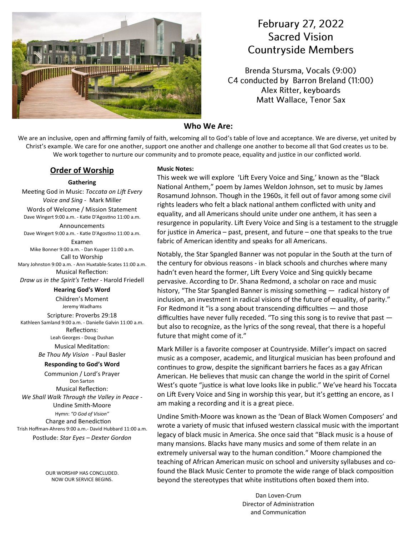

## **February 27, 2022 Sacred Vision Countryside Members**

Brenda Stursma, Vocals (9:00) C4 conducted by Barron Breland (11:00) Alex Ritter, keyboards Matt Wallace, Tenor Sax

## **Who We Are:**

We are an inclusive, open and affirming family of faith, welcoming all to God's table of love and acceptance. We are diverse, yet united by Christ's example. We care for one another, support one another and challenge one another to become all that God creates us to be. We work together to nurture our community and to promote peace, equality and justice in our conflicted world.

### **Order of Worship**

### **Gathering**

Meeting God in Music: *Toccata on Lift Every Voice and Sing -* Mark Miller

Words of Welcome / Mission Statement Dave Wingert 9:00 a.m. - Katie D'Agostino 11:00 a.m.

Announcements Dave Wingert 9:00 a.m. - Katie D'Agostino 11:00 a.m.

Examen Mike Bonner 9:00 a.m. - Dan Kuyper 11:00 a.m. Call to Worship Mary Johnston 9:00 a.m. - Ann Huxtable-Scates 11:00 a.m.

Musical Reflection: *Draw us in the Spirit's Tether* - Harold Friedell

#### **Hearing God's Word**

Children's Moment Jeremy Wadhams

Scripture: Proverbs 29:18 Kathleen Samland 9:00 a.m. - Danielle Galvin 11:00 a.m. Reflections: Leah Georges - Doug Dushan Musical Meditation: *Be Thou My Vision* - Paul Basler

### **Responding to God's Word**

Communion / Lord's Prayer Don Sarton Musical Reflection: *We Shall Walk Through the Valley in Peace* - Undine Smith-Moore Hymn: *"O God of Vision"* Charge and Benediction Trish Hoffman-Ahrens 9:00 a.m.- David Hubbard 11:00 a.m. Postlude: *Star Eyes – Dexter Gordon*

> OUR WORSHIP HAS CONCLUDED. NOW OUR SERVICE BEGINS.

#### **Music Notes:**

This week we will explore 'Lift Every Voice and Sing,' known as the "Black National Anthem," poem by James Weldon Johnson, set to music by James Rosamund Johnson. Though in the 1960s, it fell out of favor among some civil rights leaders who felt a black national anthem conflicted with unity and equality, and all Americans should unite under one anthem, it has seen a resurgence in popularity. Lift Every Voice and Sing is a testament to the struggle for justice in America – past, present, and future – one that speaks to the true fabric of American identity and speaks for all Americans.

Notably, the Star Spangled Banner was not popular in the South at the turn of the century for obvious reasons - in black schools and churches where many hadn't even heard the former, Lift Every Voice and Sing quickly became pervasive. According to Dr. Shana Redmond, a scholar on race and music history, "The Star Spangled Banner is missing something — radical history of inclusion, an investment in radical visions of the future of equality, of parity." For Redmond it "is a song about transcending difficulties — and those difficulties have never fully receded. "To sing this song is to revive that past but also to recognize, as the lyrics of the song reveal, that there is a hopeful future that might come of it."

Mark Miller is a favorite composer at Countryside. Miller's impact on sacred music as a composer, academic, and liturgical musician has been profound and continues to grow, despite the significant barriers he faces as a gay African American. He believes that music can change the world in the spirit of Cornel West's quote "justice is what love looks like in public." We've heard his Toccata on Lift Every Voice and Sing in worship this year, but it's getting an encore, as I am making a recording and it is a great piece.

Undine Smith-Moore was known as the 'Dean of Black Women Composers' and wrote a variety of music that infused western classical music with the important legacy of black music in America. She once said that "Black music is a house of many mansions. Blacks have many musics and some of them relate in an extremely universal way to the human condition." Moore championed the teaching of African American music on school and university syllabuses and cofound the Black Music Center to promote the wide range of black composition beyond the stereotypes that white institutions often boxed them into.

> Dan Loven-Crum Director of Administration and Communication